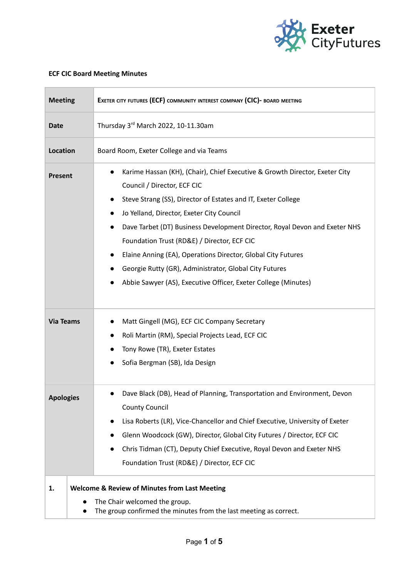

## **ECF CIC Board Meeting Minutes**

| <b>Meeting</b>   | EXETER CITY FUTURES (ECF) COMMUNITY INTEREST COMPANY (CIC)- BOARD MEETING                                                                                                                                                                                                                                                                                                                                                                                                                                                                                                   |
|------------------|-----------------------------------------------------------------------------------------------------------------------------------------------------------------------------------------------------------------------------------------------------------------------------------------------------------------------------------------------------------------------------------------------------------------------------------------------------------------------------------------------------------------------------------------------------------------------------|
| <b>Date</b>      | Thursday 3rd March 2022, 10-11.30am                                                                                                                                                                                                                                                                                                                                                                                                                                                                                                                                         |
| Location         | Board Room, Exeter College and via Teams                                                                                                                                                                                                                                                                                                                                                                                                                                                                                                                                    |
| Present          | Karime Hassan (KH), (Chair), Chief Executive & Growth Director, Exeter City<br>$\bullet$<br>Council / Director, ECF CIC<br>Steve Strang (SS), Director of Estates and IT, Exeter College<br>Jo Yelland, Director, Exeter City Council<br>$\bullet$<br>Dave Tarbet (DT) Business Development Director, Royal Devon and Exeter NHS<br>Foundation Trust (RD&E) / Director, ECF CIC<br>Elaine Anning (EA), Operations Director, Global City Futures<br>Georgie Rutty (GR), Administrator, Global City Futures<br>Abbie Sawyer (AS), Executive Officer, Exeter College (Minutes) |
| <b>Via Teams</b> | Matt Gingell (MG), ECF CIC Company Secretary<br>Roli Martin (RM), Special Projects Lead, ECF CIC<br>Tony Rowe (TR), Exeter Estates<br>Sofia Bergman (SB), Ida Design                                                                                                                                                                                                                                                                                                                                                                                                        |
| <b>Apologies</b> | Dave Black (DB), Head of Planning, Transportation and Environment, Devon<br><b>County Council</b><br>Lisa Roberts (LR), Vice-Chancellor and Chief Executive, University of Exeter<br>Glenn Woodcock (GW), Director, Global City Futures / Director, ECF CIC<br>Chris Tidman (CT), Deputy Chief Executive, Royal Devon and Exeter NHS<br>$\bullet$<br>Foundation Trust (RD&E) / Director, ECF CIC                                                                                                                                                                            |
| 1.               | <b>Welcome &amp; Review of Minutes from Last Meeting</b><br>The Chair welcomed the group.<br>The group confirmed the minutes from the last meeting as correct.                                                                                                                                                                                                                                                                                                                                                                                                              |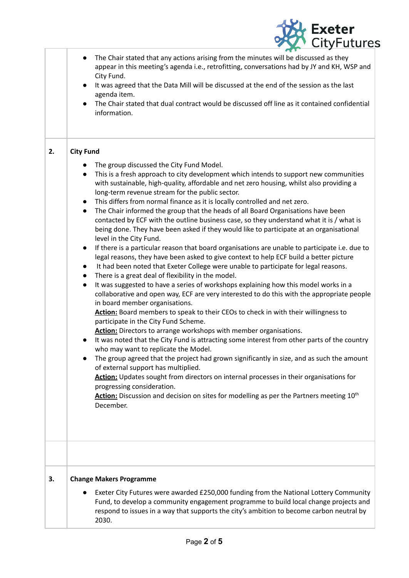

|    | The Chair stated that any actions arising from the minutes will be discussed as they<br>appear in this meeting's agenda i.e., retrofitting, conversations had by JY and KH, WSP and<br>City Fund.<br>It was agreed that the Data Mill will be discussed at the end of the session as the last<br>agenda item.<br>The Chair stated that dual contract would be discussed off line as it contained confidential<br>information.                                                                                                                                                                                                                                                                                                                                                                                                                                                                                                                                                                                                                                                                                                                                                                                                                                                                                                                                                                                                                                                                                                                                                                                                                                                                                                                                                                                                                                                                                                                                                                                |  |
|----|--------------------------------------------------------------------------------------------------------------------------------------------------------------------------------------------------------------------------------------------------------------------------------------------------------------------------------------------------------------------------------------------------------------------------------------------------------------------------------------------------------------------------------------------------------------------------------------------------------------------------------------------------------------------------------------------------------------------------------------------------------------------------------------------------------------------------------------------------------------------------------------------------------------------------------------------------------------------------------------------------------------------------------------------------------------------------------------------------------------------------------------------------------------------------------------------------------------------------------------------------------------------------------------------------------------------------------------------------------------------------------------------------------------------------------------------------------------------------------------------------------------------------------------------------------------------------------------------------------------------------------------------------------------------------------------------------------------------------------------------------------------------------------------------------------------------------------------------------------------------------------------------------------------------------------------------------------------------------------------------------------------|--|
| 2. | <b>City Fund</b>                                                                                                                                                                                                                                                                                                                                                                                                                                                                                                                                                                                                                                                                                                                                                                                                                                                                                                                                                                                                                                                                                                                                                                                                                                                                                                                                                                                                                                                                                                                                                                                                                                                                                                                                                                                                                                                                                                                                                                                             |  |
|    | The group discussed the City Fund Model.<br>This is a fresh approach to city development which intends to support new communities<br>with sustainable, high-quality, affordable and net zero housing, whilst also providing a<br>long-term revenue stream for the public sector.<br>This differs from normal finance as it is locally controlled and net zero.<br>The Chair informed the group that the heads of all Board Organisations have been<br>$\bullet$<br>contacted by ECF with the outline business case, so they understand what it is / what is<br>being done. They have been asked if they would like to participate at an organisational<br>level in the City Fund.<br>If there is a particular reason that board organisations are unable to participate i.e. due to<br>legal reasons, they have been asked to give context to help ECF build a better picture<br>It had been noted that Exeter College were unable to participate for legal reasons.<br>There is a great deal of flexibility in the model.<br>It was suggested to have a series of workshops explaining how this model works in a<br>$\bullet$<br>collaborative and open way, ECF are very interested to do this with the appropriate people<br>in board member organisations.<br>Action: Board members to speak to their CEOs to check in with their willingness to<br>participate in the City Fund Scheme.<br>Action: Directors to arrange workshops with member organisations.<br>It was noted that the City Fund is attracting some interest from other parts of the country<br>$\bullet$<br>who may want to replicate the Model.<br>The group agreed that the project had grown significantly in size, and as such the amount<br>of external support has multiplied.<br>Action: Updates sought from directors on internal processes in their organisations for<br>progressing consideration.<br><b>Action:</b> Discussion and decision on sites for modelling as per the Partners meeting 10 <sup>th</sup><br>December. |  |
|    |                                                                                                                                                                                                                                                                                                                                                                                                                                                                                                                                                                                                                                                                                                                                                                                                                                                                                                                                                                                                                                                                                                                                                                                                                                                                                                                                                                                                                                                                                                                                                                                                                                                                                                                                                                                                                                                                                                                                                                                                              |  |
| 3. | <b>Change Makers Programme</b><br>Exeter City Futures were awarded £250,000 funding from the National Lottery Community<br>Fund, to develop a community engagement programme to build local change projects and<br>respond to issues in a way that supports the city's ambition to become carbon neutral by<br>2030.                                                                                                                                                                                                                                                                                                                                                                                                                                                                                                                                                                                                                                                                                                                                                                                                                                                                                                                                                                                                                                                                                                                                                                                                                                                                                                                                                                                                                                                                                                                                                                                                                                                                                         |  |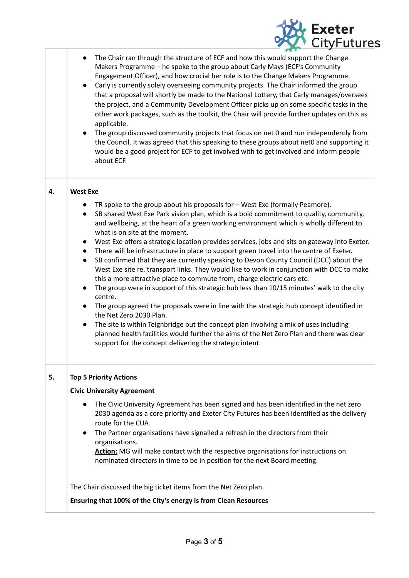

|    | The Chair ran through the structure of ECF and how this would support the Change<br>Makers Programme - he spoke to the group about Carly Mays (ECF's Community<br>Engagement Officer), and how crucial her role is to the Change Makers Programme.<br>Carly is currently solely overseeing community projects. The Chair informed the group<br>that a proposal will shortly be made to the National Lottery, that Carly manages/oversees<br>the project, and a Community Development Officer picks up on some specific tasks in the<br>other work packages, such as the toolkit, the Chair will provide further updates on this as<br>applicable.<br>The group discussed community projects that focus on net 0 and run independently from<br>$\bullet$<br>the Council. It was agreed that this speaking to these groups about net0 and supporting it<br>would be a good project for ECF to get involved with to get involved and inform people<br>about ECF.                                                                                                                                                                                                                                                                                                    |
|----|------------------------------------------------------------------------------------------------------------------------------------------------------------------------------------------------------------------------------------------------------------------------------------------------------------------------------------------------------------------------------------------------------------------------------------------------------------------------------------------------------------------------------------------------------------------------------------------------------------------------------------------------------------------------------------------------------------------------------------------------------------------------------------------------------------------------------------------------------------------------------------------------------------------------------------------------------------------------------------------------------------------------------------------------------------------------------------------------------------------------------------------------------------------------------------------------------------------------------------------------------------------|
| 4. | <b>West Exe</b>                                                                                                                                                                                                                                                                                                                                                                                                                                                                                                                                                                                                                                                                                                                                                                                                                                                                                                                                                                                                                                                                                                                                                                                                                                                  |
|    | TR spoke to the group about his proposals for - West Exe (formally Peamore).<br>SB shared West Exe Park vision plan, which is a bold commitment to quality, community,<br>and wellbeing, at the heart of a green working environment which is wholly different to<br>what is on site at the moment.<br>West Exe offers a strategic location provides services, jobs and sits on gateway into Exeter.<br>There will be infrastructure in place to support green travel into the centre of Exeter.<br>SB confirmed that they are currently speaking to Devon County Council (DCC) about the<br>West Exe site re. transport links. They would like to work in conjunction with DCC to make<br>this a more attractive place to commute from, charge electric cars etc.<br>The group were in support of this strategic hub less than 10/15 minutes' walk to the city<br>centre.<br>The group agreed the proposals were in line with the strategic hub concept identified in<br>$\bullet$<br>the Net Zero 2030 Plan.<br>The site is within Teignbridge but the concept plan involving a mix of uses including<br>planned health facilities would further the aims of the Net Zero Plan and there was clear<br>support for the concept delivering the strategic intent. |
| 5. | <b>Top 5 Priority Actions</b>                                                                                                                                                                                                                                                                                                                                                                                                                                                                                                                                                                                                                                                                                                                                                                                                                                                                                                                                                                                                                                                                                                                                                                                                                                    |
|    | <b>Civic University Agreement</b>                                                                                                                                                                                                                                                                                                                                                                                                                                                                                                                                                                                                                                                                                                                                                                                                                                                                                                                                                                                                                                                                                                                                                                                                                                |
|    | The Civic University Agreement has been signed and has been identified in the net zero<br>2030 agenda as a core priority and Exeter City Futures has been identified as the delivery<br>route for the CUA.<br>The Partner organisations have signalled a refresh in the directors from their<br>organisations.<br>Action: MG will make contact with the respective organisations for instructions on<br>nominated directors in time to be in position for the next Board meeting.                                                                                                                                                                                                                                                                                                                                                                                                                                                                                                                                                                                                                                                                                                                                                                                |
|    | The Chair discussed the big ticket items from the Net Zero plan.                                                                                                                                                                                                                                                                                                                                                                                                                                                                                                                                                                                                                                                                                                                                                                                                                                                                                                                                                                                                                                                                                                                                                                                                 |
|    | Ensuring that 100% of the City's energy is from Clean Resources                                                                                                                                                                                                                                                                                                                                                                                                                                                                                                                                                                                                                                                                                                                                                                                                                                                                                                                                                                                                                                                                                                                                                                                                  |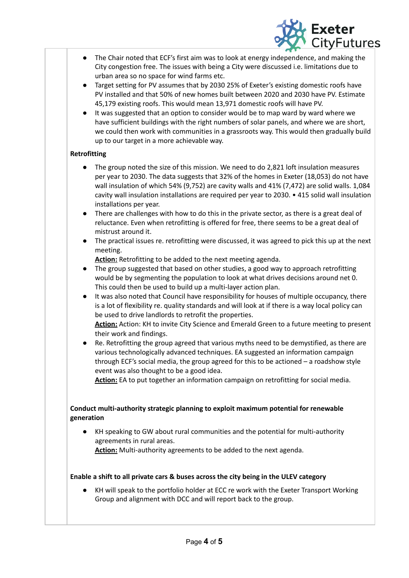

- The Chair noted that ECF's first aim was to look at energy independence, and making the City congestion free. The issues with being a City were discussed i.e. limitations due to urban area so no space for wind farms etc.
- Target setting for PV assumes that by 2030 25% of Exeter's existing domestic roofs have PV installed and that 50% of new homes built between 2020 and 2030 have PV. Estimate 45,179 existing roofs. This would mean 13,971 domestic roofs will have PV.
- It was suggested that an option to consider would be to map ward by ward where we have sufficient buildings with the right numbers of solar panels, and where we are short, we could then work with communities in a grassroots way. This would then gradually build up to our target in a more achievable way.

## **Retrofitting**

- The group noted the size of this mission. We need to do 2,821 loft insulation measures per year to 2030. The data suggests that 32% of the homes in Exeter (18,053) do not have wall insulation of which 54% (9,752) are cavity walls and 41% (7,472) are solid walls. 1,084 cavity wall insulation installations are required per year to 2030. • 415 solid wall insulation installations per year.
- There are challenges with how to do this in the private sector, as there is a great deal of reluctance. Even when retrofitting is offered for free, there seems to be a great deal of mistrust around it.
- The practical issues re. retrofitting were discussed, it was agreed to pick this up at the next meeting.

**Action:** Retrofitting to be added to the next meeting agenda.

- The group suggested that based on other studies, a good way to approach retrofitting would be by segmenting the population to look at what drives decisions around net 0. This could then be used to build up a multi-layer action plan.
- It was also noted that Council have responsibility for houses of multiple occupancy, there is a lot of flexibility re. quality standards and will look at if there is a way local policy can be used to drive landlords to retrofit the properties.

**Action:** Action: KH to invite City Science and Emerald Green to a future meeting to present their work and findings.

Re. Retrofitting the group agreed that various myths need to be demystified, as there are various technologically advanced techniques. EA suggested an information campaign through ECF's social media, the group agreed for this to be actioned – a roadshow style event was also thought to be a good idea.

Action: EA to put together an information campaign on retrofitting for social media.

## **Conduct multi-authority strategic planning to exploit maximum potential for renewable generation**

KH speaking to GW about rural communities and the potential for multi-authority agreements in rural areas.

**Action:** Multi-authority agreements to be added to the next agenda.

## **Enable a shift to all private cars & buses across the city being in the ULEV category**

KH will speak to the portfolio holder at ECC re work with the Exeter Transport Working Group and alignment with DCC and will report back to the group.